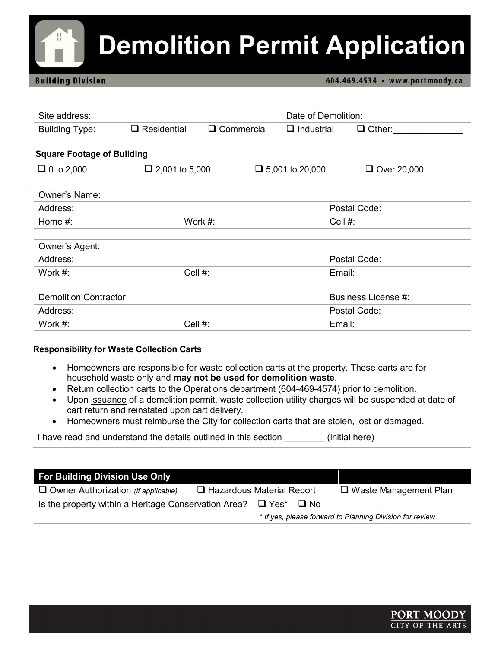# **Demolition Permit Application**

#### **Building Division**

#### 604.469.4534 · www.portmoody.ca

| Site address:                     |                       |                   | Date of Demolition:    |                     |  |
|-----------------------------------|-----------------------|-------------------|------------------------|---------------------|--|
| <b>Building Type:</b>             | $\Box$ Residential    | $\Box$ Commercial | $\Box$ Industrial      | $\Box$ Other:       |  |
|                                   |                       |                   |                        |                     |  |
| <b>Square Footage of Building</b> |                       |                   |                        |                     |  |
| $\Box$ 0 to 2,000                 | $\Box$ 2,001 to 5,000 |                   | $\Box$ 5,001 to 20,000 | $\Box$ Over 20,000  |  |
|                                   |                       |                   |                        |                     |  |
| Owner's Name:                     |                       |                   |                        |                     |  |
| Address:                          |                       |                   |                        | Postal Code:        |  |
| Home #:                           |                       | Work #:           | Cell #:                |                     |  |
|                                   |                       |                   |                        |                     |  |
| Owner's Agent:                    |                       |                   |                        |                     |  |
| Address:                          |                       |                   |                        | Postal Code:        |  |
| Work $#$ :                        | Cell #:               |                   | Email:                 |                     |  |
|                                   |                       |                   |                        |                     |  |
| <b>Demolition Contractor</b>      |                       |                   |                        | Business License #: |  |
| Address:                          |                       |                   |                        | Postal Code:        |  |
| Work #:                           | Cell #:               |                   | Email:                 |                     |  |

#### **Responsibility for Waste Collection Carts**

- Homeowners are responsible for waste collection carts at the property. These carts are for household waste only and **may not be used for demolition waste**.
- Return collection carts to the Operations department (604-469-4574) prior to demolition.
- Upon issuance of a demolition permit, waste collection utility charges will be suspended at date of cart return and reinstated upon cart delivery.
- Homeowners must reimburse the City for collection carts that are stolen, lost or damaged.

I have read and understand the details outlined in this section [initial here)

| <b>For Building Division Use Only</b>                                      |                                  |  |                                                          |
|----------------------------------------------------------------------------|----------------------------------|--|----------------------------------------------------------|
| $\Box$ Owner Authorization (if applicable)                                 | $\Box$ Hazardous Material Report |  | $\Box$ Waste Management Plan                             |
| Is the property within a Heritage Conservation Area? $\Box$ Yes* $\Box$ No |                                  |  |                                                          |
|                                                                            |                                  |  | * If yes, please forward to Planning Division for review |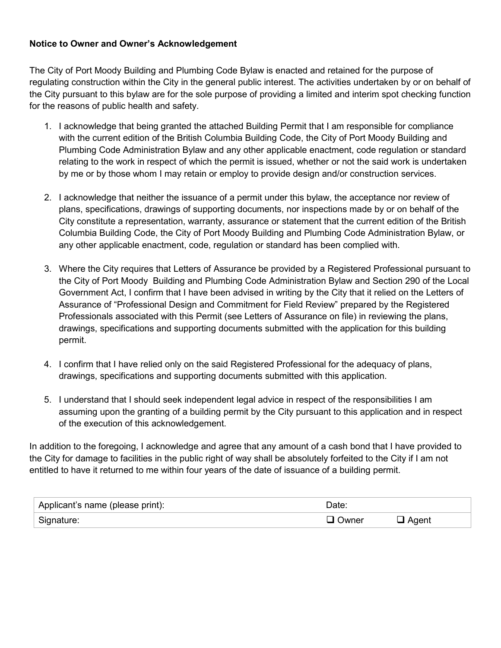#### **Notice to Owner and Owner's Acknowledgement**

The City of Port Moody Building and Plumbing Code Bylaw is enacted and retained for the purpose of regulating construction within the City in the general public interest. The activities undertaken by or on behalf of the City pursuant to this bylaw are for the sole purpose of providing a limited and interim spot checking function for the reasons of public health and safety.

- 1. I acknowledge that being granted the attached Building Permit that I am responsible for compliance with the current edition of the British Columbia Building Code, the City of Port Moody Building and Plumbing Code Administration Bylaw and any other applicable enactment, code regulation or standard relating to the work in respect of which the permit is issued, whether or not the said work is undertaken by me or by those whom I may retain or employ to provide design and/or construction services.
- 2. I acknowledge that neither the issuance of a permit under this bylaw, the acceptance nor review of plans, specifications, drawings of supporting documents, nor inspections made by or on behalf of the City constitute a representation, warranty, assurance or statement that the current edition of the British Columbia Building Code, the City of Port Moody Building and Plumbing Code Administration Bylaw, or any other applicable enactment, code, regulation or standard has been complied with.
- 3. Where the City requires that Letters of Assurance be provided by a Registered Professional pursuant to the City of Port Moody Building and Plumbing Code Administration Bylaw and Section 290 of the Local Government Act, I confirm that I have been advised in writing by the City that it relied on the Letters of Assurance of "Professional Design and Commitment for Field Review" prepared by the Registered Professionals associated with this Permit (see Letters of Assurance on file) in reviewing the plans, drawings, specifications and supporting documents submitted with the application for this building permit.
- 4. I confirm that I have relied only on the said Registered Professional for the adequacy of plans, drawings, specifications and supporting documents submitted with this application.
- 5. I understand that I should seek independent legal advice in respect of the responsibilities I am assuming upon the granting of a building permit by the City pursuant to this application and in respect of the execution of this acknowledgement.

In addition to the foregoing, I acknowledge and agree that any amount of a cash bond that I have provided to the City for damage to facilities in the public right of way shall be absolutely forfeited to the City if I am not entitled to have it returned to me within four years of the date of issuance of a building permit.

| Applicant's name (please print): | Date:          |  |
|----------------------------------|----------------|--|
| Signature:                       | <b>■ Owner</b> |  |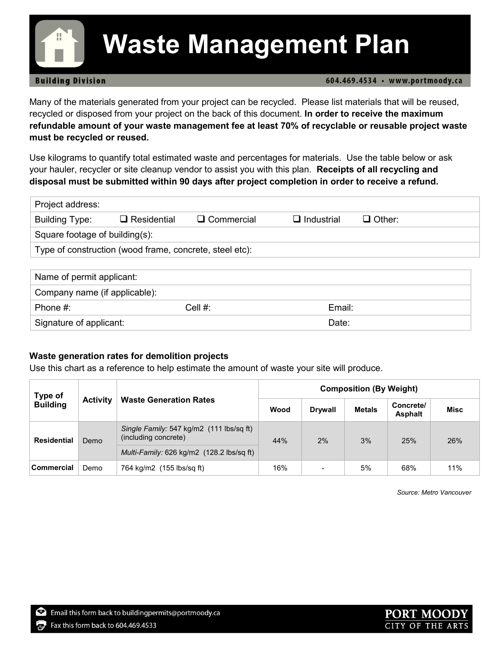## **Waste Management Plan**

#### **Building Division**

604.469.4534 · www.portmoody.ca

Many of the materials generated from your project can be recycled. Please list materials that will be reused, recycled or disposed from your project on the back of this document. **In order to receive the maximum refundable amount of your waste management fee at least 70% of recyclable or reusable project waste must be recycled or reused.**

Use kilograms to quantify total estimated waste and percentages for materials. Use the table below or ask your hauler, recycler or site cleanup vendor to assist you with this plan. **Receipts of all recycling and disposal must be submitted within 90 days after project completion in order to receive a refund.** 

| Project address:                                        |                    |                   |                   |               |  |
|---------------------------------------------------------|--------------------|-------------------|-------------------|---------------|--|
| <b>Building Type:</b>                                   | $\Box$ Residential | $\Box$ Commercial | $\Box$ Industrial | $\Box$ Other: |  |
| Square footage of building(s):                          |                    |                   |                   |               |  |
| Type of construction (wood frame, concrete, steel etc): |                    |                   |                   |               |  |
|                                                         |                    |                   |                   |               |  |

| Name of permit applicant:     |            |        |
|-------------------------------|------------|--------|
| Company name (if applicable): |            |        |
| Phone #:                      | Cell $#$ : | Email: |
| Signature of applicant:       |            | Date:  |

#### **Waste generation rates for demolition projects**

Use this chart as a reference to help estimate the amount of waste your site will produce.

| Type of            |                 | <b>Composition (By Weight)</b>                                   |      |                |               |                             |             |
|--------------------|-----------------|------------------------------------------------------------------|------|----------------|---------------|-----------------------------|-------------|
| <b>Building</b>    | <b>Activity</b> | <b>Waste Generation Rates</b>                                    | Wood | <b>Drywall</b> | <b>Metals</b> | Concrete/<br><b>Asphalt</b> | <b>Misc</b> |
| <b>Residential</b> | Demo            | Single Family: 547 kg/m2 (111 lbs/sq ft)<br>(including concrete) | 44%  | 2%             | 3%            | 25%                         | 26%         |
|                    |                 | Multi-Family: 626 kg/m2 (128.2 lbs/sq ft)                        |      |                |               |                             |             |
| <b>Commercial</b>  | Demo            | 764 kg/m2 (155 lbs/sg ft)                                        | 16%  |                | 5%            | 68%                         | 11%         |

*Source: Metro Vancouver*



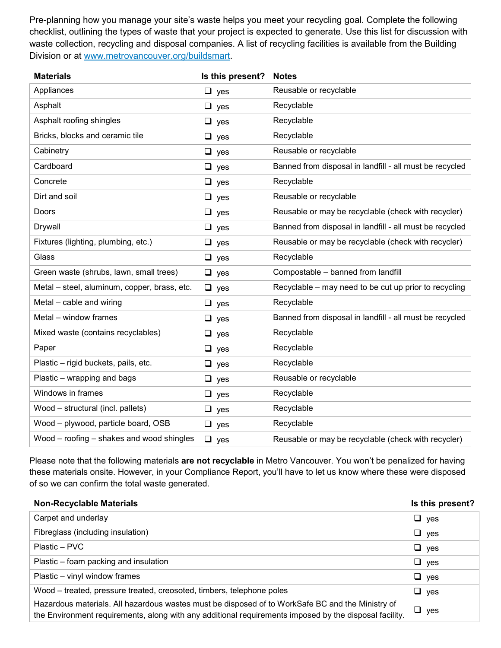Pre-planning how you manage your site's waste helps you meet your recycling goal. Complete the following checklist, outlining the types of waste that your project is expected to generate. Use this list for discussion with waste collection, recycling and disposal companies. A list of recycling facilities is available from the Building Division or at [www.metrovancouver.org/buildsmart.](http://www.metrovancouver.org/buildsmart)

| <b>Materials</b>                             | Is this present? | <b>Notes</b>                                            |
|----------------------------------------------|------------------|---------------------------------------------------------|
| Appliances                                   | $\Box$ yes       | Reusable or recyclable                                  |
| Asphalt                                      | $\Box$ yes       | Recyclable                                              |
| Asphalt roofing shingles                     | $\Box$ yes       | Recyclable                                              |
| Bricks, blocks and ceramic tile              | $\Box$ yes       | Recyclable                                              |
| Cabinetry                                    | $\Box$ yes       | Reusable or recyclable                                  |
| Cardboard                                    | $\Box$ yes       | Banned from disposal in landfill - all must be recycled |
| Concrete                                     | $\Box$ yes       | Recyclable                                              |
| Dirt and soil                                | $\Box$ yes       | Reusable or recyclable                                  |
| Doors                                        | $\Box$ yes       | Reusable or may be recyclable (check with recycler)     |
| Drywall                                      | $\Box$ yes       | Banned from disposal in landfill - all must be recycled |
| Fixtures (lighting, plumbing, etc.)          | $\Box$ yes       | Reusable or may be recyclable (check with recycler)     |
| Glass                                        | $\Box$ yes       | Recyclable                                              |
| Green waste (shrubs, lawn, small trees)      | $\Box$ yes       | Compostable - banned from landfill                      |
| Metal - steel, aluminum, copper, brass, etc. | $\Box$ yes       | Recyclable – may need to be cut up prior to recycling   |
| Metal - cable and wiring                     | $\Box$ yes       | Recyclable                                              |
| Metal - window frames                        | $\Box$ yes       | Banned from disposal in landfill - all must be recycled |
| Mixed waste (contains recyclables)           | $\Box$ yes       | Recyclable                                              |
| Paper                                        | $\Box$ yes       | Recyclable                                              |
| Plastic - rigid buckets, pails, etc.         | $\Box$ yes       | Recyclable                                              |
| Plastic – wrapping and bags                  | $\Box$ yes       | Reusable or recyclable                                  |
| Windows in frames                            | $\Box$ yes       | Recyclable                                              |
| Wood - structural (incl. pallets)            | $\Box$ yes       | Recyclable                                              |
| Wood - plywood, particle board, OSB          | $\Box$ yes       | Recyclable                                              |
| Wood – roofing – shakes and wood shingles    | $\Box$ yes       | Reusable or may be recyclable (check with recycler)     |

Please note that the following materials **are not recyclable** in Metro Vancouver. You won't be penalized for having these materials onsite. However, in your Compliance Report, you'll have to let us know where these were disposed of so we can confirm the total waste generated.

| <b>Non-Recyclable Materials</b>                                                                                                                                                                            | Is this present? |
|------------------------------------------------------------------------------------------------------------------------------------------------------------------------------------------------------------|------------------|
| Carpet and underlay                                                                                                                                                                                        | $\Box$ yes       |
| Fibreglass (including insulation)                                                                                                                                                                          | $\Box$ yes       |
| Plastic – PVC                                                                                                                                                                                              | $\Box$ yes       |
| Plastic – foam packing and insulation                                                                                                                                                                      | $\Box$ yes       |
| Plastic - vinyl window frames                                                                                                                                                                              | $\Box$ yes       |
| Wood – treated, pressure treated, creosoted, timbers, telephone poles                                                                                                                                      | $\Box$ yes       |
| Hazardous materials. All hazardous wastes must be disposed of to WorkSafe BC and the Ministry of<br>the Environment requirements, along with any additional requirements imposed by the disposal facility. | $\Box$ yes       |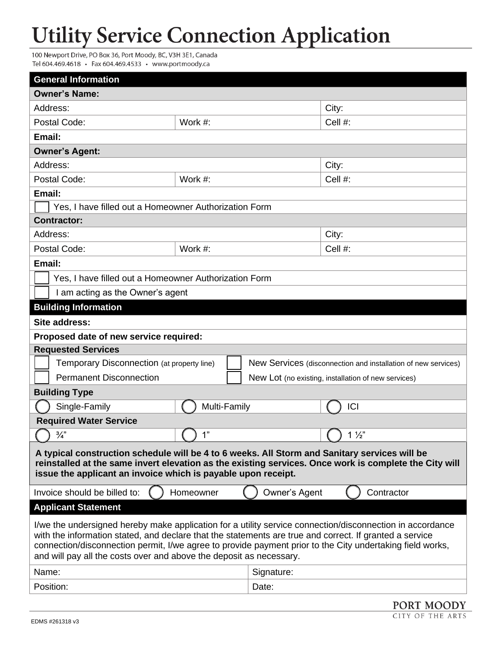### **Utility Service Connection Application**

100 Newport Drive, PO Box 36, Port Moody, BC, V3H 3E1, Canada Tel 604.469.4618 · Fax 604.469.4533 · www.portmoody.ca

| <b>General Information</b>                                                                                                                                                                                                                                                                                                                                                                               |              |               |                                                               |  |  |
|----------------------------------------------------------------------------------------------------------------------------------------------------------------------------------------------------------------------------------------------------------------------------------------------------------------------------------------------------------------------------------------------------------|--------------|---------------|---------------------------------------------------------------|--|--|
| <b>Owner's Name:</b>                                                                                                                                                                                                                                                                                                                                                                                     |              |               |                                                               |  |  |
| Address:                                                                                                                                                                                                                                                                                                                                                                                                 |              |               | City:                                                         |  |  |
| Postal Code:                                                                                                                                                                                                                                                                                                                                                                                             | Work #:      |               | Cell #:                                                       |  |  |
| Email:                                                                                                                                                                                                                                                                                                                                                                                                   |              |               |                                                               |  |  |
| <b>Owner's Agent:</b>                                                                                                                                                                                                                                                                                                                                                                                    |              |               |                                                               |  |  |
| Address:                                                                                                                                                                                                                                                                                                                                                                                                 |              |               | City:                                                         |  |  |
| Postal Code:                                                                                                                                                                                                                                                                                                                                                                                             | Work #:      |               | Cell #:                                                       |  |  |
| Email:                                                                                                                                                                                                                                                                                                                                                                                                   |              |               |                                                               |  |  |
| Yes, I have filled out a Homeowner Authorization Form                                                                                                                                                                                                                                                                                                                                                    |              |               |                                                               |  |  |
| <b>Contractor:</b>                                                                                                                                                                                                                                                                                                                                                                                       |              |               |                                                               |  |  |
| Address:                                                                                                                                                                                                                                                                                                                                                                                                 |              |               | City:                                                         |  |  |
| Postal Code:                                                                                                                                                                                                                                                                                                                                                                                             | Work #:      |               | Cell #:                                                       |  |  |
| Email:                                                                                                                                                                                                                                                                                                                                                                                                   |              |               |                                                               |  |  |
| Yes, I have filled out a Homeowner Authorization Form                                                                                                                                                                                                                                                                                                                                                    |              |               |                                                               |  |  |
| I am acting as the Owner's agent                                                                                                                                                                                                                                                                                                                                                                         |              |               |                                                               |  |  |
| <b>Building Information</b>                                                                                                                                                                                                                                                                                                                                                                              |              |               |                                                               |  |  |
| Site address:                                                                                                                                                                                                                                                                                                                                                                                            |              |               |                                                               |  |  |
| Proposed date of new service required:                                                                                                                                                                                                                                                                                                                                                                   |              |               |                                                               |  |  |
| <b>Requested Services</b>                                                                                                                                                                                                                                                                                                                                                                                |              |               |                                                               |  |  |
| Temporary Disconnection (at property line)                                                                                                                                                                                                                                                                                                                                                               |              |               | New Services (disconnection and installation of new services) |  |  |
| <b>Permanent Disconnection</b>                                                                                                                                                                                                                                                                                                                                                                           |              |               | New Lot (no existing, installation of new services)           |  |  |
| <b>Building Type</b>                                                                                                                                                                                                                                                                                                                                                                                     |              |               |                                                               |  |  |
| Single-Family                                                                                                                                                                                                                                                                                                                                                                                            | Multi-Family |               | ICI                                                           |  |  |
| <b>Required Water Service</b>                                                                                                                                                                                                                                                                                                                                                                            |              |               |                                                               |  |  |
| $\frac{3}{4}$                                                                                                                                                                                                                                                                                                                                                                                            | 1"           |               | $1\frac{1}{2}$                                                |  |  |
| A typical construction schedule will be 4 to 6 weeks. All Storm and Sanitary services will be<br>reinstalled at the same invert elevation as the existing services. Once work is complete the City will<br>issue the applicant an invoice which is payable upon receipt.                                                                                                                                 |              |               |                                                               |  |  |
| Invoice should be billed to:                                                                                                                                                                                                                                                                                                                                                                             | Homeowner    | Owner's Agent | Contractor                                                    |  |  |
| <b>Applicant Statement</b>                                                                                                                                                                                                                                                                                                                                                                               |              |               |                                                               |  |  |
| I/we the undersigned hereby make application for a utility service connection/disconnection in accordance<br>with the information stated, and declare that the statements are true and correct. If granted a service<br>connection/disconnection permit, I/we agree to provide payment prior to the City undertaking field works,<br>and will pay all the costs over and above the deposit as necessary. |              |               |                                                               |  |  |
| Name:                                                                                                                                                                                                                                                                                                                                                                                                    |              | Signature:    |                                                               |  |  |
| Position:                                                                                                                                                                                                                                                                                                                                                                                                |              | Date:         |                                                               |  |  |
|                                                                                                                                                                                                                                                                                                                                                                                                          |              |               | PORT MOODY                                                    |  |  |

CITY OF THE ARTS